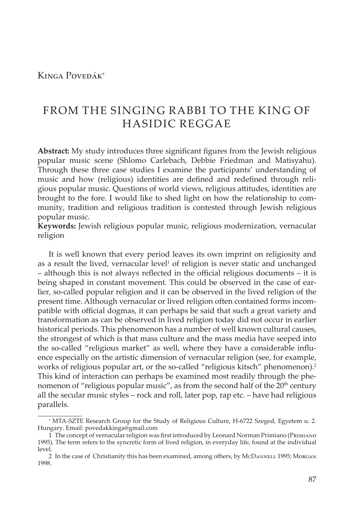## Kinga Povedák\*

# FROM THE SINGING RABBI TO THE KING OF HASIDIC REGGAE

**Abstract:** My study introduces three significant figures from the Jewish religious popular music scene (Shlomo Carlebach, Debbie Friedman and Matisyahu). Through these three case studies I examine the participants' understanding of music and how (religious) identities are defined and redefined through religious popular music. Questions of world views, religious attitudes, identities are brought to the fore. I would like to shed light on how the relationship to community, tradition and religious tradition is contested through Jewish religious popular music.

**Keywords:** Jewish religious popular music, religious modernization, vernacular religion

It is well known that every period leaves its own imprint on religiosity and as a result the lived, vernacular level<sup>1</sup> of religion is never static and unchanged – although this is not always reflected in the official religious documents – it is being shaped in constant movement. This could be observed in the case of earlier, so-called popular religion and it can be observed in the lived religion of the present time. Although vernacular or lived religion often contained forms incompatible with official dogmas, it can perhaps be said that such a great variety and transformation as can be observed in lived religion today did not occur in earlier historical periods. This phenomenon has a number of well known cultural causes, the strongest of which is that mass culture and the mass media have seeped into the so-called "religious market" as well, where they have a considerable influence especially on the artistic dimension of vernacular religion (see, for example, works of religious popular art, or the so-called "religious kitsch" phenomenon).<sup>2</sup> This kind of interaction can perhaps be examined most readily through the phenomenon of "religious popular music", as from the second half of the  $20<sup>th</sup>$  century all the secular music styles – rock and roll, later pop, rap etc. – have had religious parallels.

<sup>\*</sup> MTA-SZTE Research Group for the Study of Religious Culture, H-6722 Szeged, Egyetem u. 2. Hungary. Email: povedakkinga@gmail.com

<sup>1</sup> The concept of vernacular religion was first introduced by Leonard Norman Primiano (Primiano 1995). The term refers to the syncretic form of lived religion, in everyday life, found at the individual level.

<sup>2</sup> In the case of Christianity this has been examined, among others, by McDANNELL 1995; MORGAN 1998.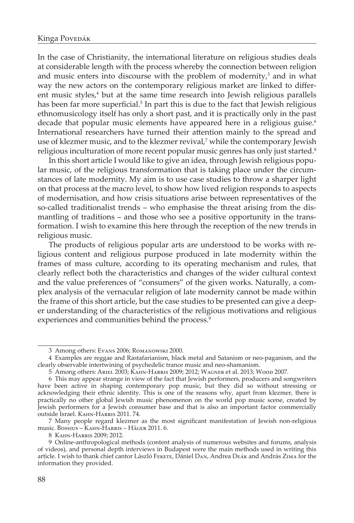In the case of Christianity, the international literature on religious studies deals at considerable length with the process whereby the connection between religion and music enters into discourse with the problem of modernity, $3$  and in what way the new actors on the contemporary religious market are linked to different music styles,<sup>4</sup> but at the same time research into Jewish religious parallels has been far more superficial.<sup>5</sup> In part this is due to the fact that Jewish religious ethnomusicology itself has only a short past, and it is practically only in the past decade that popular music elements have appeared here in a religious guise.<sup>6</sup> International researchers have turned their attention mainly to the spread and use of klezmer music, and to the klezmer revival, $\bar{z}$  while the contemporary Jewish religious inculturation of more recent popular music genres has only just started.<sup>8</sup>

In this short article I would like to give an idea, through Jewish religious popular music, of the religious transformation that is taking place under the circumstances of late modernity. My aim is to use case studies to throw a sharper light on that process at the macro level, to show how lived religion responds to aspects of modernisation, and how crisis situations arise between representatives of the so-called traditionalist trends – who emphasise the threat arising from the dismantling of traditions – and those who see a positive opportunity in the transformation. I wish to examine this here through the reception of the new trends in religious music.

The products of religious popular arts are understood to be works with religious content and religious purpose produced in late modernity within the frames of mass culture, according to its operating mechanism and rules, that clearly reflect both the characteristics and changes of the wider cultural context and the value preferences of "consumers" of the given works. Naturally, a complex analysis of the vernacular religion of late modernity cannot be made within the frame of this short article, but the case studies to be presented can give a deeper understanding of the characteristics of the religious motivations and religious experiences and communities behind the process.<sup>9</sup>

<sup>3</sup> Among others: Evans 2006; Romanowski 2000.

<sup>4</sup> Examples are reggae and Rastafarianism, black metal and Satanism or neo-paganism, and the clearly observable intertwining of psychedelic trance music and neo-shamanism.

<sup>5</sup> Among others: Ariel 2003; Kahn-Harris 2009; 2012; Wagner et al. 2013; Wood 2007.

<sup>6</sup> This may appear strange in view of the fact that Jewish performers, producers and songwriters have been active in shaping contemporary pop music, but they did so without stressing or acknowledging their ethnic identity. This is one of the reasons why, apart from klezmer, there is practically no other global Jewish music phenomenon on the world pop music scene, created by Jewish performers for a Jewish consumer base and that is also an important factor commercially outside Israel. Kahn-Harris 2011. 74.

<sup>7</sup> Many people regard klezmer as the most significant manifestation of Jewish non-religious music. Bossius – Kahn-Harris – Häger 2011. 6.

<sup>8</sup> Kahn-Harris 2009; 2012.

<sup>9</sup> Online-anthropological methods (content analysis of numerous websites and forums, analysis of videos), and personal depth interviews in Budapest were the main methods used in writing this article. I wish to thank chief cantor László Fekete, Dániel Dan, Andrea Deák and András Zima for the information they provided.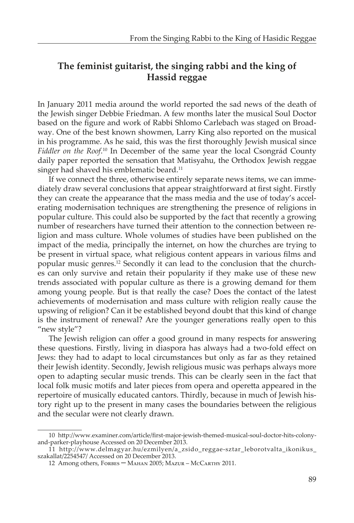# **The feminist guitarist, the singing rabbi and the king of Hassid reggae**

In January 2011 media around the world reported the sad news of the death of the Jewish singer Debbie Friedman. A few months later the musical Soul Doctor based on the figure and work of Rabbi Shlomo Carlebach was staged on Broadway. One of the best known showmen, Larry King also reported on the musical in his programme. As he said, this was the first thoroughly Jewish musical since Fiddler on the Roof.<sup>10</sup> In December of the same year the local Csongrád County daily paper reported the sensation that Matisyahu, the Orthodox Jewish reggae singer had shaved his emblematic beard.<sup>11</sup>

If we connect the three, otherwise entirely separate news items, we can immediately draw several conclusions that appear straightforward at first sight. Firstly they can create the appearance that the mass media and the use of today's accelerating modernisation techniques are strengthening the presence of religions in popular culture. This could also be supported by the fact that recently a growing number of researchers have turned their attention to the connection between religion and mass culture. Whole volumes of studies have been published on the impact of the media, principally the internet, on how the churches are trying to be present in virtual space, what religious content appears in various films and popular music genres.12 Secondly it can lead to the conclusion that the churches can only survive and retain their popularity if they make use of these new trends associated with popular culture as there is a growing demand for them among young people. But is that really the case? Does the contact of the latest achievements of modernisation and mass culture with religion really cause the upswing of religion? Can it be established beyond doubt that this kind of change is the instrument of renewal? Are the younger generations really open to this "new style"?

The Jewish religion can offer a good ground in many respects for answering these questions. Firstly, living in diaspora has always had a two-fold effect on Jews: they had to adapt to local circumstances but only as far as they retained their Jewish identity. Secondly, Jewish religious music was perhaps always more open to adapting secular music trends. This can be clearly seen in the fact that local folk music motifs and later pieces from opera and operetta appeared in the repertoire of musically educated cantors. Thirdly, because in much of Jewish history right up to the present in many cases the boundaries between the religious and the secular were not clearly drawn.

<sup>10</sup> http://www.examiner.com/article/first-major-jewish-themed-musical-soul-doctor-hits-colonyand-parker-playhouse Accessed on 20 December 2013.

<sup>11</sup> http://www.delmagyar.hu/ezmilyen/a\_zsido\_reggae-sztar\_leborotvalta\_ikonikus\_ szakallat/2254547/ Accessed on 20 December 2013.

<sup>12</sup> Among others, Forbes – Mahan 2005; Mazur – McCarthy 2011.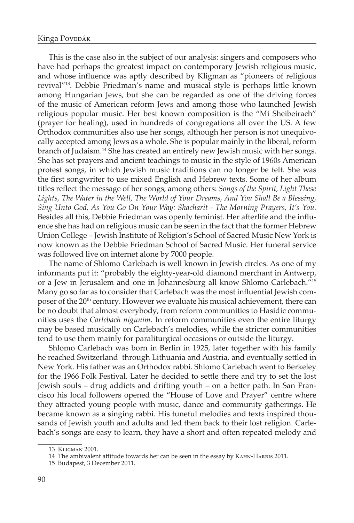This is the case also in the subject of our analysis: singers and composers who have had perhaps the greatest impact on contemporary Jewish religious music, and whose influence was aptly described by Kligman as "pioneers of religious revival"13. Debbie Friedman's name and musical style is perhaps little known among Hungarian Jews, but she can be regarded as one of the driving forces of the music of American reform Jews and among those who launched Jewish religious popular music. Her best known composition is the "Mi Sheibeirach" (prayer for healing), used in hundreds of congregations all over the US. A few Orthodox communities also use her songs, although her person is not unequivocally accepted among Jews as a whole. She is popular mainly in the liberal, reform branch of Judaism.<sup>14</sup> She has created an entirely new Jewish music with her songs. She has set prayers and ancient teachings to music in the style of 1960s American protest songs, in which Jewish music traditions can no longer be felt. She was the first songwriter to use mixed English and Hebrew texts. Some of her album titles reflect the message of her songs, among others: *Songs of the Spirit, Light These Lights, The Water in the Well, The World of Your Dreams, And You Shall Be a Blessing, Sing Unto God, As You Go On Your Way: Shacharit - The Morning Prayers, It's You.*  Besides all this, Debbie Friedman was openly feminist. Her afterlife and the influence she has had on religious music can be seen in the fact that the former Hebrew Union College – Jewish Institute of Religion's School of Sacred Music New York is now known as the Debbie Friedman School of Sacred Music. Her funeral service was followed live on internet alone by 7000 people.

The name of Shlomo Carlebach is well known in Jewish circles. As one of my informants put it: "probably the eighty-year-old diamond merchant in Antwerp, or a Jew in Jerusalem and one in Johannesburg all know Shlomo Carlebach."15 Many go so far as to consider that Carlebach was the most influential Jewish composer of the 20<sup>th</sup> century. However we evaluate his musical achievement, there can be no doubt that almost everybody, from reform communities to Hasidic communities uses the *Carlebach nigunim*. In reform communities even the entire liturgy may be based musically on Carlebach's melodies, while the stricter communities tend to use them mainly for paraliturgical occasions or outside the liturgy.

Shlomo Carlebach was born in Berlin in 1925, later together with his family he reached Switzerland through Lithuania and Austria, and eventually settled in New York. His father was an Orthodox rabbi. Shlomo Carlebach went to Berkeley for the 1966 Folk Festival. Later he decided to settle there and try to set the lost Jewish souls – drug addicts and drifting youth – on a better path. In San Francisco his local followers opened the "House of Love and Prayer" centre where they attracted young people with music, dance and community gatherings. He became known as a singing rabbi. His tuneful melodies and texts inspired thousands of Jewish youth and adults and led them back to their lost religion. Carlebach's songs are easy to learn, they have a short and often repeated melody and

<sup>13</sup> Kligman 2001.

<sup>14</sup> The ambivalent attitude towards her can be seen in the essay by KAHN-HARRIS 2011.

<sup>15</sup> Budapest, 3 December 2011.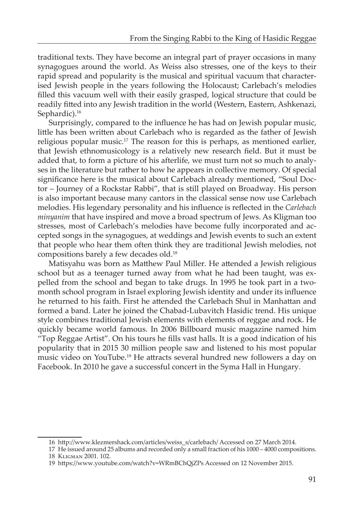traditional texts. They have become an integral part of prayer occasions in many synagogues around the world. As Weiss also stresses, one of the keys to their rapid spread and popularity is the musical and spiritual vacuum that characterised Jewish people in the years following the Holocaust; Carlebach's melodies filled this vacuum well with their easily grasped, logical structure that could be readily fitted into any Jewish tradition in the world (Western, Eastern, Ashkenazi, Sephardic).<sup>16</sup>

Surprisingly, compared to the influence he has had on Jewish popular music, little has been written about Carlebach who is regarded as the father of Jewish religious popular music.<sup>17</sup> The reason for this is perhaps, as mentioned earlier, that Jewish ethnomusicology is a relatively new research field. But it must be added that, to form a picture of his afterlife, we must turn not so much to analyses in the literature but rather to how he appears in collective memory. Of special significance here is the musical about Carlebach already mentioned, "Soul Doctor – Journey of a Rockstar Rabbi", that is still played on Broadway. His person is also important because many cantors in the classical sense now use Carlebach melodies. His legendary personality and his influence is reflected in the *Carlebach minyanim* that have inspired and move a broad spectrum of Jews. As Kligman too stresses, most of Carlebach's melodies have become fully incorporated and accepted songs in the synagogues, at weddings and Jewish events to such an extent that people who hear them often think they are traditional Jewish melodies, not compositions barely a few decades old.18

Matisyahu was born as Matthew Paul Miller. He attended a Jewish religious school but as a teenager turned away from what he had been taught, was expelled from the school and began to take drugs. In 1995 he took part in a twomonth school program in Israel exploring Jewish identity and under its influence he returned to his faith. First he attended the Carlebach Shul in Manhattan and formed a band. Later he joined the Chabad-Lubavitch Hasidic trend. His unique style combines traditional Jewish elements with elements of reggae and rock. He quickly became world famous. In 2006 Billboard music magazine named him "Top Reggae Artist". On his tours he fills vast halls. It is a good indication of his popularity that in 2015 30 million people saw and listened to his most popular music video on YouTube.19 He attracts several hundred new followers a day on Facebook. In 2010 he gave a successful concert in the Syma Hall in Hungary.

<sup>16</sup> http://www.klezmershack.com/articles/weiss\_s/carlebach/ Accessed on 27 March 2014.

<sup>17</sup> He issued around 25 albums and recorded only a small fraction of his 1000 – 4000 compositions. 18 Kligman 2001. 102.

<sup>19</sup> https://www.youtube.com/watch?v=WRmBChQjZPs Accessed on 12 November 2015.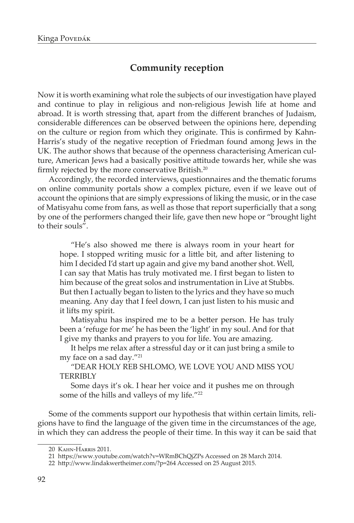# **Community reception**

Now it is worth examining what role the subjects of our investigation have played and continue to play in religious and non-religious Jewish life at home and abroad. It is worth stressing that, apart from the different branches of Judaism, considerable differences can be observed between the opinions here, depending on the culture or region from which they originate. This is confirmed by Kahn-Harris's study of the negative reception of Friedman found among Jews in the UK. The author shows that because of the openness characterising American culture, American Jews had a basically positive attitude towards her, while she was firmly rejected by the more conservative British.<sup>20</sup>

Accordingly, the recorded interviews, questionnaires and the thematic forums on online community portals show a complex picture, even if we leave out of account the opinions that are simply expressions of liking the music, or in the case of Matisyahu come from fans, as well as those that report superficially that a song by one of the performers changed their life, gave then new hope or "brought light to their souls".

"He's also showed me there is always room in your heart for hope. I stopped writing music for a little bit, and after listening to him I decided I'd start up again and give my band another shot. Well, I can say that Matis has truly motivated me. I first began to listen to him because of the great solos and instrumentation in Live at Stubbs. But then I actually began to listen to the lyrics and they have so much meaning. Any day that I feel down, I can just listen to his music and it lifts my spirit.

Matisyahu has inspired me to be a better person. He has truly been a 'refuge for me' he has been the 'light' in my soul. And for that I give my thanks and prayers to you for life. You are amazing.

It helps me relax after a stressful day or it can just bring a smile to my face on a sad day."21

"DEAR HOLY REB SHLOMO, WE LOVE YOU AND MISS YOU TERRIBLY

Some days it's ok. I hear her voice and it pushes me on through some of the hills and valleys of my life."<sup>22</sup>

Some of the comments support our hypothesis that within certain limits, religions have to find the language of the given time in the circumstances of the age, in which they can address the people of their time. In this way it can be said that

<sup>20</sup> Kahn-Harris 2011.

<sup>21</sup> https://www.youtube.com/watch?v=WRmBChQjZPs Accessed on 28 March 2014.

<sup>22</sup> http://www.lindakwertheimer.com/?p=264 Accessed on 25 August 2015.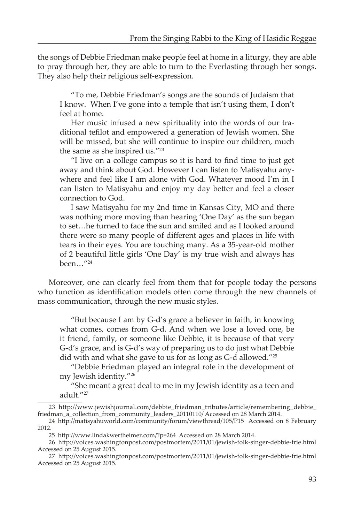the songs of Debbie Friedman make people feel at home in a liturgy, they are able to pray through her, they are able to turn to the Everlasting through her songs. They also help their religious self-expression.

"To me, Debbie Friedman's songs are the sounds of Judaism that I know. When I've gone into a temple that isn't using them, I don't feel at home.

Her music infused a new spirituality into the words of our traditional tefilot and empowered a generation of Jewish women. She will be missed, but she will continue to inspire our children, much the same as she inspired us."23

"I live on a college campus so it is hard to find time to just get away and think about God. However I can listen to Matisyahu anywhere and feel like I am alone with God. Whatever mood I'm in I can listen to Matisyahu and enjoy my day better and feel a closer connection to God.

I saw Matisyahu for my 2nd time in Kansas City, MO and there was nothing more moving than hearing 'One Day' as the sun began to set…he turned to face the sun and smiled and as I looked around there were so many people of different ages and places in life with tears in their eyes. You are touching many. As a 35-year-old mother of 2 beautiful little girls 'One Day' is my true wish and always has been…"24

Moreover, one can clearly feel from them that for people today the persons who function as identification models often come through the new channels of mass communication, through the new music styles.

"But because I am by G-d's grace a believer in faith, in knowing what comes, comes from G-d. And when we lose a loved one, be it friend, family, or someone like Debbie, it is because of that very G-d's grace, and is G-d's way of preparing us to do just what Debbie did with and what she gave to us for as long as G-d allowed."25

"Debbie Friedman played an integral role in the development of my Jewish identity."26

"She meant a great deal to me in my Jewish identity as a teen and adult."27

<sup>23</sup> http://www.jewishjournal.com/debbie\_friedman\_tributes/article/remembering\_debbie\_ friedman\_a\_collection\_from\_community\_leaders\_20110110/ Accessed on 28 March 2014.

<sup>24</sup> http://matisyahuworld.com/community/forum/viewthread/105/P15 Accessed on 8 February 2012.

<sup>25</sup> http://www.lindakwertheimer.com/?p=264 Accessed on 28 March 2014.

<sup>26</sup> http://voices.washingtonpost.com/postmortem/2011/01/jewish-folk-singer-debbie-frie.html Accessed on 25 August 2015.

<sup>27</sup> http://voices.washingtonpost.com/postmortem/2011/01/jewish-folk-singer-debbie-frie.html Accessed on 25 August 2015.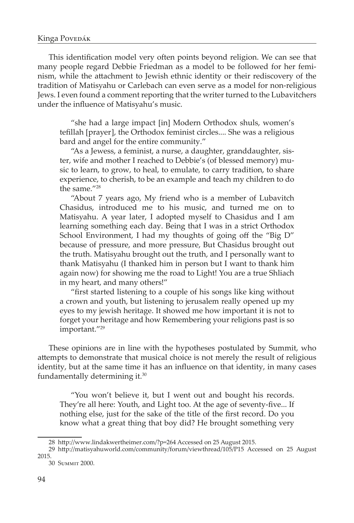This identification model very often points beyond religion. We can see that many people regard Debbie Friedman as a model to be followed for her feminism, while the attachment to Jewish ethnic identity or their rediscovery of the tradition of Matisyahu or Carlebach can even serve as a model for non-religious Jews. I even found a comment reporting that the writer turned to the Lubavitchers under the influence of Matisyahu's music.

"she had a large impact [in] Modern Orthodox shuls, women's tefillah [prayer], the Orthodox feminist circles.... She was a religious bard and angel for the entire community."

"As a Jewess, a feminist, a nurse, a daughter, granddaughter, sister, wife and mother I reached to Debbie's (of blessed memory) music to learn, to grow, to heal, to emulate, to carry tradition, to share experience, to cherish, to be an example and teach my children to do the same."28

"About 7 years ago, My friend who is a member of Lubavitch Chasidus, introduced me to his music, and turned me on to Matisyahu. A year later, I adopted myself to Chasidus and I am learning something each day. Being that I was in a strict Orthodox School Environment, I had my thoughts of going off the "Big D" because of pressure, and more pressure, But Chasidus brought out the truth. Matisyahu brought out the truth, and I personally want to thank Matisyahu (I thanked him in person but I want to thank him again now) for showing me the road to Light! You are a true Shliach in my heart, and many others!"

"first started listening to a couple of his songs like king without a crown and youth, but listening to jerusalem really opened up my eyes to my jewish heritage. It showed me how important it is not to forget your heritage and how Remembering your religions past is so important."29

These opinions are in line with the hypotheses postulated by Summit, who attempts to demonstrate that musical choice is not merely the result of religious identity, but at the same time it has an influence on that identity, in many cases fundamentally determining it.30

"You won't believe it, but I went out and bought his records. They're all here: Youth, and Light too. At the age of seventy-five... If nothing else, just for the sake of the title of the first record. Do you know what a great thing that boy did? He brought something very

<sup>28</sup> http://www.lindakwertheimer.com/?p=264 Accessed on 25 August 2015.

<sup>29</sup> http://matisyahuworld.com/community/forum/viewthread/105/P15 Accessed on 25 August 2015.

<sup>30</sup> Summit 2000.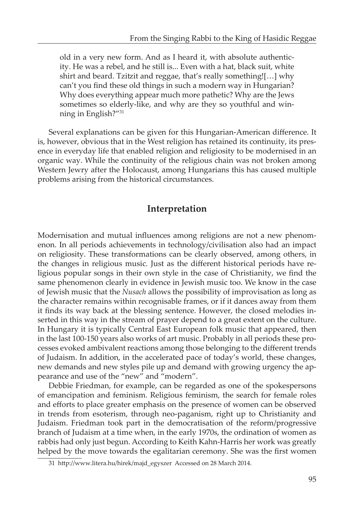old in a very new form. And as I heard it, with absolute authenticity. He was a rebel, and he still is... Even with a hat, black suit, white shirt and beard. Tzitzit and reggae, that's really something![…] why can't you find these old things in such a modern way in Hungarian? Why does everything appear much more pathetic? Why are the Jews sometimes so elderly-like, and why are they so youthful and winning in English?"31

Several explanations can be given for this Hungarian-American difference. It is, however, obvious that in the West religion has retained its continuity, its presence in everyday life that enabled religion and religiosity to be modernised in an organic way. While the continuity of the religious chain was not broken among Western Jewry after the Holocaust, among Hungarians this has caused multiple problems arising from the historical circumstances.

## **Interpretation**

Modernisation and mutual influences among religions are not a new phenomenon. In all periods achievements in technology/civilisation also had an impact on religiosity. These transformations can be clearly observed, among others, in the changes in religious music. Just as the different historical periods have religious popular songs in their own style in the case of Christianity, we find the same phenomenon clearly in evidence in Jewish music too. We know in the case of Jewish music that the *Nusach* allows the possibility of improvisation as long as the character remains within recognisable frames, or if it dances away from them it finds its way back at the blessing sentence. However, the closed melodies inserted in this way in the stream of prayer depend to a great extent on the culture. In Hungary it is typically Central East European folk music that appeared, then in the last 100-150 years also works of art music. Probably in all periods these processes evoked ambivalent reactions among those belonging to the different trends of Judaism. In addition, in the accelerated pace of today's world, these changes, new demands and new styles pile up and demand with growing urgency the appearance and use of the "new" and "modern".

Debbie Friedman, for example, can be regarded as one of the spokespersons of emancipation and feminism. Religious feminism, the search for female roles and efforts to place greater emphasis on the presence of women can be observed in trends from esoterism, through neo-paganism, right up to Christianity and Judaism. Friedman took part in the democratisation of the reform/progressive branch of Judaism at a time when, in the early 1970s, the ordination of women as rabbis had only just begun. According to Keith Kahn-Harris her work was greatly helped by the move towards the egalitarian ceremony. She was the first women

<sup>31</sup> http://www.litera.hu/hirek/majd\_egyszer Accessed on 28 March 2014.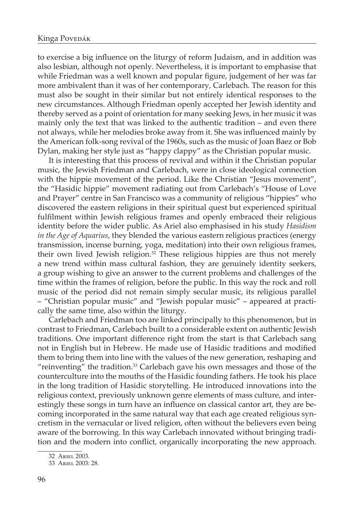to exercise a big influence on the liturgy of reform Judaism, and in addition was also lesbian, although not openly. Nevertheless, it is important to emphasise that while Friedman was a well known and popular figure, judgement of her was far more ambivalent than it was of her contemporary, Carlebach. The reason for this must also be sought in their similar but not entirely identical responses to the new circumstances. Although Friedman openly accepted her Jewish identity and thereby served as a point of orientation for many seeking Jews, in her music it was mainly only the text that was linked to the authentic tradition – and even there not always, while her melodies broke away from it. She was influenced mainly by the American folk-song revival of the 1960s, such as the music of Joan Baez or Bob Dylan, making her style just as "happy clappy" as the Christian popular music.

It is interesting that this process of revival and within it the Christian popular music, the Jewish Friedman and Carlebach, were in close ideological connection with the hippie movement of the period. Like the Christian "Jesus movement", the "Hasidic hippie" movement radiating out from Carlebach's "House of Love and Prayer" centre in San Francisco was a community of religious "hippies" who discovered the eastern religions in their spiritual quest but experienced spiritual fulfilment within Jewish religious frames and openly embraced their religious identity before the wider public. As Ariel also emphasised in his study *Hasidism in the Age of Aquarius*, they blended the various eastern religious practices (energy transmission, incense burning, yoga, meditation) into their own religious frames, their own lived Jewish religion. $32$  These religious hippies are thus not merely a new trend within mass cultural fashion, they are genuinely identity seekers, a group wishing to give an answer to the current problems and challenges of the time within the frames of religion, before the public. In this way the rock and roll music of the period did not remain simply secular music, its religious parallel – "Christian popular music" and "Jewish popular music" – appeared at practically the same time, also within the liturgy.

Carlebach and Friedman too are linked principally to this phenomenon, but in contrast to Friedman, Carlebach built to a considerable extent on authentic Jewish traditions. One important difference right from the start is that Carlebach sang not in English but in Hebrew. He made use of Hasidic traditions and modified them to bring them into line with the values of the new generation, reshaping and "reinventing" the tradition. $33$  Carlebach gave his own messages and those of the counterculture into the mouths of the Hasidic founding fathers. He took his place in the long tradition of Hasidic storytelling. He introduced innovations into the religious context, previously unknown genre elements of mass culture, and interestingly these songs in turn have an influence on classical cantor art, they are becoming incorporated in the same natural way that each age created religious syncretism in the vernacular or lived religion, often without the believers even being aware of the borrowing. In this way Carlebach innovated without bringing tradition and the modern into conflict, organically incorporating the new approach.

<sup>32</sup> Ariel 2003.

<sup>33</sup> Ariel 2003: 28.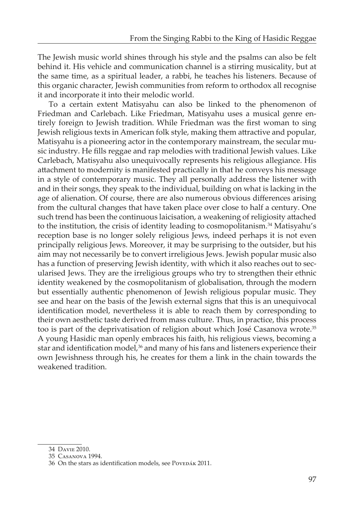The Jewish music world shines through his style and the psalms can also be felt behind it. His vehicle and communication channel is a stirring musicality, but at the same time, as a spiritual leader, a rabbi, he teaches his listeners. Because of this organic character, Jewish communities from reform to orthodox all recognise it and incorporate it into their melodic world.

To a certain extent Matisyahu can also be linked to the phenomenon of Friedman and Carlebach. Like Friedman, Matisyahu uses a musical genre entirely foreign to Jewish tradition. While Friedman was the first woman to sing Jewish religious texts in American folk style, making them attractive and popular, Matisyahu is a pioneering actor in the contemporary mainstream, the secular music industry. He fills reggae and rap melodies with traditional Jewish values. Like Carlebach, Matisyahu also unequivocally represents his religious allegiance. His attachment to modernity is manifested practically in that he conveys his message in a style of contemporary music. They all personally address the listener with and in their songs, they speak to the individual, building on what is lacking in the age of alienation. Of course, there are also numerous obvious differences arising from the cultural changes that have taken place over close to half a century. One such trend has been the continuous laicisation, a weakening of religiosity attached to the institution, the crisis of identity leading to cosmopolitanism.<sup>34</sup> Matisyahu's reception base is no longer solely religious Jews, indeed perhaps it is not even principally religious Jews. Moreover, it may be surprising to the outsider, but his aim may not necessarily be to convert irreligious Jews. Jewish popular music also has a function of preserving Jewish identity, with which it also reaches out to secularised Jews. They are the irreligious groups who try to strengthen their ethnic identity weakened by the cosmopolitanism of globalisation, through the modern but essentially authentic phenomenon of Jewish religious popular music. They see and hear on the basis of the Jewish external signs that this is an unequivocal identification model, nevertheless it is able to reach them by corresponding to their own aesthetic taste derived from mass culture. Thus, in practice, this process too is part of the deprivatisation of religion about which José Casanova wrote.<sup>35</sup> A young Hasidic man openly embraces his faith, his religious views, becoming a star and identification model,<sup>36</sup> and many of his fans and listeners experience their own Jewishness through his, he creates for them a link in the chain towards the weakened tradition.

<sup>34</sup> Davie 2010.

<sup>35</sup> Casanova 1994.

<sup>36</sup> On the stars as identification models, see PoveDÁK 2011.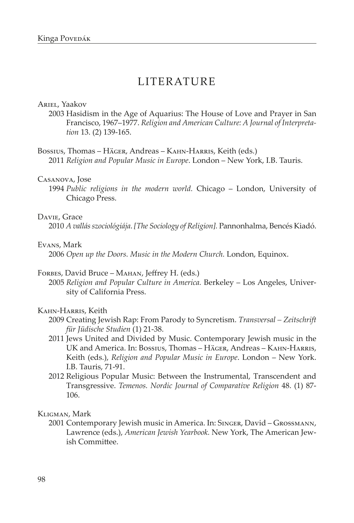# LITERATURE

#### Ariel, Yaakov

2003 Hasidism in the Age of Aquarius: The House of Love and Prayer in San Francisco, 1967–1977. *Religion and American Culture: A Journal of Interpretation* 13. (2) 139-165.

Bossius, Thomas – Häger, Andreas – Kahn-Harris, Keith (eds.) 2011 *Religion and Popular Music in Europe*. London – New York, I.B. Tauris.

#### Casanova, Jose

1994 *Public religions in the modern world.* Chicago – London, University of Chicago Press.

#### Davie, Grace

2010 *A vallás szociológiája*. *[The Sociology of Religion].* Pannonhalma, Bencés Kiadó.

## Evans, Mark

2006 *Open up the Doors. Music in the Modern Church.* London, Equinox.

#### Forbes, David Bruce – Mahan, Jeffrey H. (eds.)

2005 *Religion and Popular Culture in America.* Berkeley – Los Angeles, University of California Press.

#### Kahn-Harris, Keith

- 2009 Creating Jewish Rap: From Parody to Syncretism. *Transversal Zeitschrift für Jüdische Studien* (1) 21-38.
- 2011 Jews United and Divided by Music. Contemporary Jewish music in the UK and America. In: Bossius, Thomas – Häger, Andreas – Kahn-Harris, Keith (eds.), *Religion and Popular Music in Europe*. London – New York. I.B. Tauris, 71-91.
- 2012 Religious Popular Music: Between the Instrumental, Transcendent and Transgressive. *Temenos. Nordic Journal of Comparative Religion* 48. (1) 87- 106.

### Kligman, Mark

2001 Contemporary Jewish music in America. In: Singer, David – Grossmann, Lawrence (eds.), *American Jewish Yearbook.* New York, The American Jewish Committee.